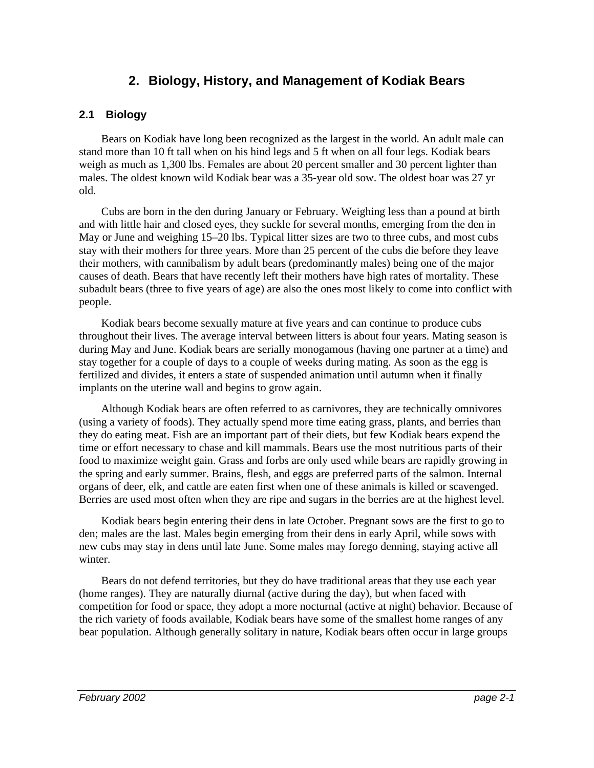# **2. Biology, History, and Management of Kodiak Bears**

#### **2.1 Biology**

Bears on Kodiak have long been recognized as the largest in the world. An adult male can stand more than 10 ft tall when on his hind legs and 5 ft when on all four legs. Kodiak bears weigh as much as 1,300 lbs. Females are about 20 percent smaller and 30 percent lighter than males. The oldest known wild Kodiak bear was a 35-year old sow. The oldest boar was 27 yr old.

Cubs are born in the den during January or February. Weighing less than a pound at birth and with little hair and closed eyes, they suckle for several months, emerging from the den in May or June and weighing 15–20 lbs. Typical litter sizes are two to three cubs, and most cubs stay with their mothers for three years. More than 25 percent of the cubs die before they leave their mothers, with cannibalism by adult bears (predominantly males) being one of the major causes of death. Bears that have recently left their mothers have high rates of mortality. These subadult bears (three to five years of age) are also the ones most likely to come into conflict with people.

Kodiak bears become sexually mature at five years and can continue to produce cubs throughout their lives. The average interval between litters is about four years. Mating season is during May and June. Kodiak bears are serially monogamous (having one partner at a time) and stay together for a couple of days to a couple of weeks during mating. As soon as the egg is fertilized and divides, it enters a state of suspended animation until autumn when it finally implants on the uterine wall and begins to grow again.

Although Kodiak bears are often referred to as carnivores, they are technically omnivores (using a variety of foods). They actually spend more time eating grass, plants, and berries than they do eating meat. Fish are an important part of their diets, but few Kodiak bears expend the time or effort necessary to chase and kill mammals. Bears use the most nutritious parts of their food to maximize weight gain. Grass and forbs are only used while bears are rapidly growing in the spring and early summer. Brains, flesh, and eggs are preferred parts of the salmon. Internal organs of deer, elk, and cattle are eaten first when one of these animals is killed or scavenged. Berries are used most often when they are ripe and sugars in the berries are at the highest level.

Kodiak bears begin entering their dens in late October. Pregnant sows are the first to go to den; males are the last. Males begin emerging from their dens in early April, while sows with new cubs may stay in dens until late June. Some males may forego denning, staying active all winter.

Bears do not defend territories, but they do have traditional areas that they use each year (home ranges). They are naturally diurnal (active during the day), but when faced with competition for food or space, they adopt a more nocturnal (active at night) behavior. Because of the rich variety of foods available, Kodiak bears have some of the smallest home ranges of any bear population. Although generally solitary in nature, Kodiak bears often occur in large groups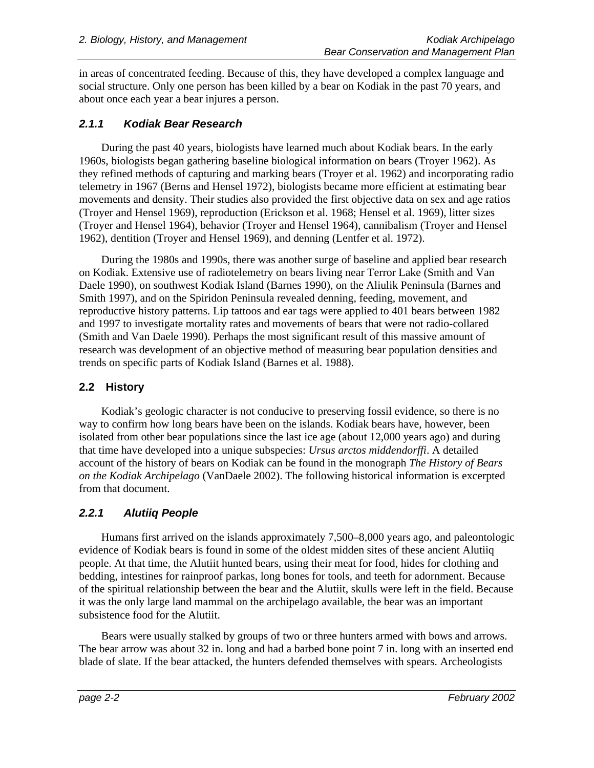in areas of concentrated feeding. Because of this, they have developed a complex language and social structure. Only one person has been killed by a bear on Kodiak in the past 70 years, and about once each year a bear injures a person.

#### **2.1.1 Kodiak Bear Research**

During the past 40 years, biologists have learned much about Kodiak bears. In the early 1960s, biologists began gathering baseline biological information on bears (Troyer 1962). As they refined methods of capturing and marking bears (Troyer et al. 1962) and incorporating radio telemetry in 1967 (Berns and Hensel 1972), biologists became more efficient at estimating bear movements and density. Their studies also provided the first objective data on sex and age ratios (Troyer and Hensel 1969), reproduction (Erickson et al. 1968; Hensel et al. 1969), litter sizes (Troyer and Hensel 1964), behavior (Troyer and Hensel 1964), cannibalism (Troyer and Hensel 1962), dentition (Troyer and Hensel 1969), and denning (Lentfer et al. 1972).

During the 1980s and 1990s, there was another surge of baseline and applied bear research on Kodiak. Extensive use of radiotelemetry on bears living near Terror Lake (Smith and Van Daele 1990), on southwest Kodiak Island (Barnes 1990), on the Aliulik Peninsula (Barnes and Smith 1997), and on the Spiridon Peninsula revealed denning, feeding, movement, and reproductive history patterns. Lip tattoos and ear tags were applied to 401 bears between 1982 and 1997 to investigate mortality rates and movements of bears that were not radio-collared (Smith and Van Daele 1990). Perhaps the most significant result of this massive amount of research was development of an objective method of measuring bear population densities and trends on specific parts of Kodiak Island (Barnes et al. 1988).

### **2.2 History**

Kodiak's geologic character is not conducive to preserving fossil evidence, so there is no way to confirm how long bears have been on the islands. Kodiak bears have, however, been isolated from other bear populations since the last ice age (about 12,000 years ago) and during that time have developed into a unique subspecies: *Ursus arctos middendorffi*. A detailed account of the history of bears on Kodiak can be found in the monograph *The History of Bears on the Kodiak Archipelago* (VanDaele 2002). The following historical information is excerpted from that document.

# **2.2.1 Alutiiq People**

Humans first arrived on the islands approximately 7,500–8,000 years ago, and paleontologic evidence of Kodiak bears is found in some of the oldest midden sites of these ancient Alutiiq people. At that time, the Alutiit hunted bears, using their meat for food, hides for clothing and bedding, intestines for rainproof parkas, long bones for tools, and teeth for adornment. Because of the spiritual relationship between the bear and the Alutiit, skulls were left in the field. Because it was the only large land mammal on the archipelago available, the bear was an important subsistence food for the Alutiit.

Bears were usually stalked by groups of two or three hunters armed with bows and arrows. The bear arrow was about 32 in. long and had a barbed bone point 7 in. long with an inserted end blade of slate. If the bear attacked, the hunters defended themselves with spears. Archeologists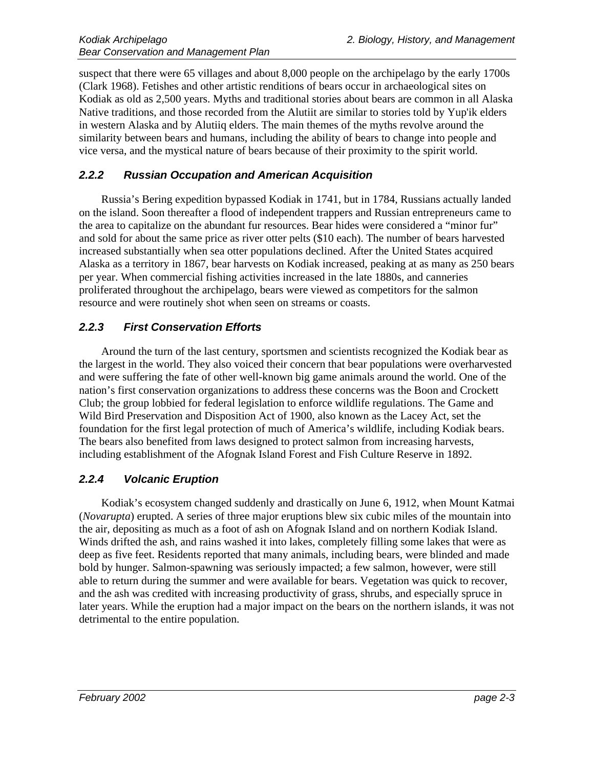suspect that there were 65 villages and about 8,000 people on the archipelago by the early 1700s (Clark 1968). Fetishes and other artistic renditions of bears occur in archaeological sites on Kodiak as old as 2,500 years. Myths and traditional stories about bears are common in all Alaska Native traditions, and those recorded from the Alutiit are similar to stories told by Yup'ik elders in western Alaska and by Alutiiq elders. The main themes of the myths revolve around the similarity between bears and humans, including the ability of bears to change into people and vice versa, and the mystical nature of bears because of their proximity to the spirit world.

#### **2.2.2 Russian Occupation and American Acquisition**

Russia's Bering expedition bypassed Kodiak in 1741, but in 1784, Russians actually landed on the island. Soon thereafter a flood of independent trappers and Russian entrepreneurs came to the area to capitalize on the abundant fur resources. Bear hides were considered a "minor fur" and sold for about the same price as river otter pelts (\$10 each). The number of bears harvested increased substantially when sea otter populations declined. After the United States acquired Alaska as a territory in 1867, bear harvests on Kodiak increased, peaking at as many as 250 bears per year. When commercial fishing activities increased in the late 1880s, and canneries proliferated throughout the archipelago, bears were viewed as competitors for the salmon resource and were routinely shot when seen on streams or coasts.

#### **2.2.3 First Conservation Efforts**

Around the turn of the last century, sportsmen and scientists recognized the Kodiak bear as the largest in the world. They also voiced their concern that bear populations were overharvested and were suffering the fate of other well-known big game animals around the world. One of the nation's first conservation organizations to address these concerns was the Boon and Crockett Club; the group lobbied for federal legislation to enforce wildlife regulations. The Game and Wild Bird Preservation and Disposition Act of 1900, also known as the Lacey Act, set the foundation for the first legal protection of much of America's wildlife, including Kodiak bears. The bears also benefited from laws designed to protect salmon from increasing harvests, including establishment of the Afognak Island Forest and Fish Culture Reserve in 1892.

#### **2.2.4 Volcanic Eruption**

Kodiak's ecosystem changed suddenly and drastically on June 6, 1912, when Mount Katmai (*Novarupta*) erupted. A series of three major eruptions blew six cubic miles of the mountain into the air, depositing as much as a foot of ash on Afognak Island and on northern Kodiak Island. Winds drifted the ash, and rains washed it into lakes, completely filling some lakes that were as deep as five feet. Residents reported that many animals, including bears, were blinded and made bold by hunger. Salmon-spawning was seriously impacted; a few salmon, however, were still able to return during the summer and were available for bears. Vegetation was quick to recover, and the ash was credited with increasing productivity of grass, shrubs, and especially spruce in later years. While the eruption had a major impact on the bears on the northern islands, it was not detrimental to the entire population.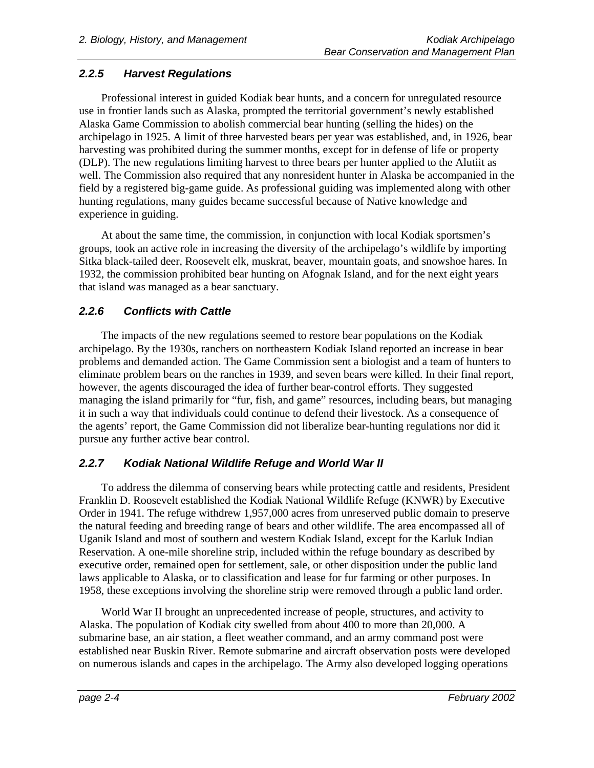# **2.2.5 Harvest Regulations**

Professional interest in guided Kodiak bear hunts, and a concern for unregulated resource use in frontier lands such as Alaska, prompted the territorial government's newly established Alaska Game Commission to abolish commercial bear hunting (selling the hides) on the archipelago in 1925. A limit of three harvested bears per year was established, and, in 1926, bear harvesting was prohibited during the summer months, except for in defense of life or property (DLP). The new regulations limiting harvest to three bears per hunter applied to the Alutiit as well. The Commission also required that any nonresident hunter in Alaska be accompanied in the field by a registered big-game guide. As professional guiding was implemented along with other hunting regulations, many guides became successful because of Native knowledge and experience in guiding.

At about the same time, the commission, in conjunction with local Kodiak sportsmen's groups, took an active role in increasing the diversity of the archipelago's wildlife by importing Sitka black-tailed deer, Roosevelt elk, muskrat, beaver, mountain goats, and snowshoe hares. In 1932, the commission prohibited bear hunting on Afognak Island, and for the next eight years that island was managed as a bear sanctuary.

# **2.2.6 Conflicts with Cattle**

The impacts of the new regulations seemed to restore bear populations on the Kodiak archipelago. By the 1930s, ranchers on northeastern Kodiak Island reported an increase in bear problems and demanded action. The Game Commission sent a biologist and a team of hunters to eliminate problem bears on the ranches in 1939, and seven bears were killed. In their final report, however, the agents discouraged the idea of further bear-control efforts. They suggested managing the island primarily for "fur, fish, and game" resources, including bears, but managing it in such a way that individuals could continue to defend their livestock. As a consequence of the agents' report, the Game Commission did not liberalize bear-hunting regulations nor did it pursue any further active bear control.

# **2.2.7 Kodiak National Wildlife Refuge and World War II**

To address the dilemma of conserving bears while protecting cattle and residents, President Franklin D. Roosevelt established the Kodiak National Wildlife Refuge (KNWR) by Executive Order in 1941. The refuge withdrew 1,957,000 acres from unreserved public domain to preserve the natural feeding and breeding range of bears and other wildlife. The area encompassed all of Uganik Island and most of southern and western Kodiak Island, except for the Karluk Indian Reservation. A one-mile shoreline strip, included within the refuge boundary as described by executive order, remained open for settlement, sale, or other disposition under the public land laws applicable to Alaska, or to classification and lease for fur farming or other purposes. In 1958, these exceptions involving the shoreline strip were removed through a public land order.

World War II brought an unprecedented increase of people, structures, and activity to Alaska. The population of Kodiak city swelled from about 400 to more than 20,000. A submarine base, an air station, a fleet weather command, and an army command post were established near Buskin River. Remote submarine and aircraft observation posts were developed on numerous islands and capes in the archipelago. The Army also developed logging operations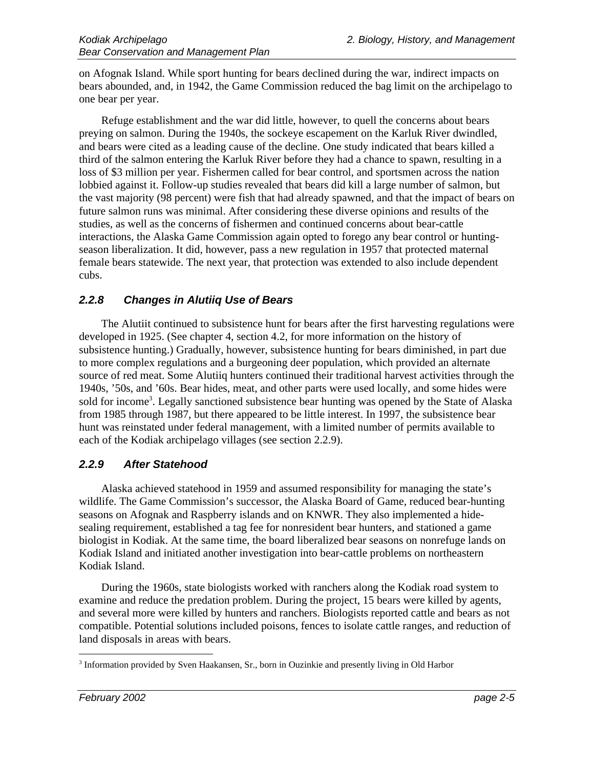on Afognak Island. While sport hunting for bears declined during the war, indirect impacts on bears abounded, and, in 1942, the Game Commission reduced the bag limit on the archipelago to one bear per year.

Refuge establishment and the war did little, however, to quell the concerns about bears preying on salmon. During the 1940s, the sockeye escapement on the Karluk River dwindled, and bears were cited as a leading cause of the decline. One study indicated that bears killed a third of the salmon entering the Karluk River before they had a chance to spawn, resulting in a loss of \$3 million per year. Fishermen called for bear control, and sportsmen across the nation lobbied against it. Follow-up studies revealed that bears did kill a large number of salmon, but the vast majority (98 percent) were fish that had already spawned, and that the impact of bears on future salmon runs was minimal. After considering these diverse opinions and results of the studies, as well as the concerns of fishermen and continued concerns about bear-cattle interactions, the Alaska Game Commission again opted to forego any bear control or huntingseason liberalization. It did, however, pass a new regulation in 1957 that protected maternal female bears statewide. The next year, that protection was extended to also include dependent cubs.

#### **2.2.8 Changes in Alutiiq Use of Bears**

The Alutiit continued to subsistence hunt for bears after the first harvesting regulations were developed in 1925. (See chapter 4, section 4.2, for more information on the history of subsistence hunting.) Gradually, however, subsistence hunting for bears diminished, in part due to more complex regulations and a burgeoning deer population, which provided an alternate source of red meat. Some Alutiiq hunters continued their traditional harvest activities through the 1940s, '50s, and '60s. Bear hides, meat, and other parts were used locally, and some hides were sold for income<sup>3</sup>. Legally sanctioned subsistence bear hunting was opened by the State of Alaska from 1985 through 1987, but there appeared to be little interest. In 1997, the subsistence bear hunt was reinstated under federal management, with a limited number of permits available to each of the Kodiak archipelago villages (see section 2.2.9).

#### **2.2.9 After Statehood**

Alaska achieved statehood in 1959 and assumed responsibility for managing the state's wildlife. The Game Commission's successor, the Alaska Board of Game, reduced bear-hunting seasons on Afognak and Raspberry islands and on KNWR. They also implemented a hidesealing requirement, established a tag fee for nonresident bear hunters, and stationed a game biologist in Kodiak. At the same time, the board liberalized bear seasons on nonrefuge lands on Kodiak Island and initiated another investigation into bear-cattle problems on northeastern Kodiak Island.

During the 1960s, state biologists worked with ranchers along the Kodiak road system to examine and reduce the predation problem. During the project, 15 bears were killed by agents, and several more were killed by hunters and ranchers. Biologists reported cattle and bears as not compatible. Potential solutions included poisons, fences to isolate cattle ranges, and reduction of land disposals in areas with bears.

 $\overline{a}$ <sup>3</sup> Information provided by Sven Haakansen, Sr., born in Ouzinkie and presently living in Old Harbor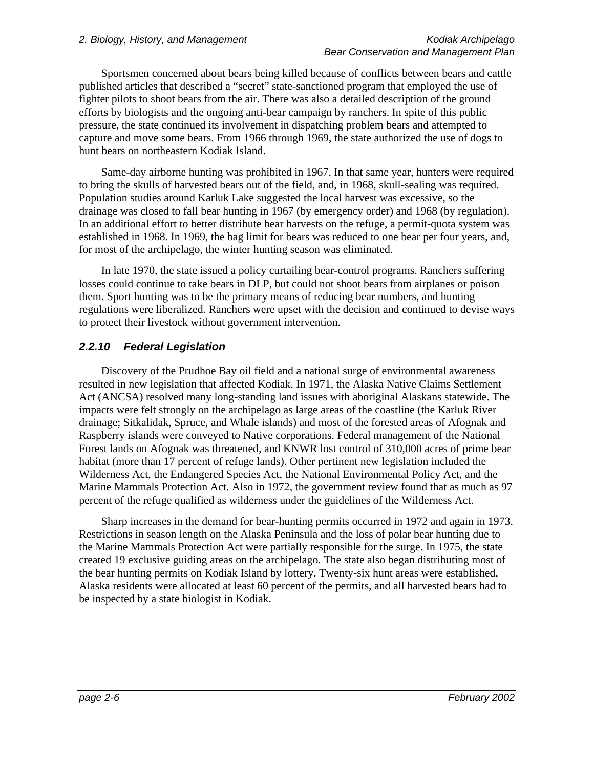Sportsmen concerned about bears being killed because of conflicts between bears and cattle published articles that described a "secret" state-sanctioned program that employed the use of fighter pilots to shoot bears from the air. There was also a detailed description of the ground efforts by biologists and the ongoing anti-bear campaign by ranchers. In spite of this public pressure, the state continued its involvement in dispatching problem bears and attempted to capture and move some bears. From 1966 through 1969, the state authorized the use of dogs to hunt bears on northeastern Kodiak Island.

Same-day airborne hunting was prohibited in 1967. In that same year, hunters were required to bring the skulls of harvested bears out of the field, and, in 1968, skull-sealing was required. Population studies around Karluk Lake suggested the local harvest was excessive, so the drainage was closed to fall bear hunting in 1967 (by emergency order) and 1968 (by regulation). In an additional effort to better distribute bear harvests on the refuge, a permit-quota system was established in 1968. In 1969, the bag limit for bears was reduced to one bear per four years, and, for most of the archipelago, the winter hunting season was eliminated.

In late 1970, the state issued a policy curtailing bear-control programs. Ranchers suffering losses could continue to take bears in DLP, but could not shoot bears from airplanes or poison them. Sport hunting was to be the primary means of reducing bear numbers, and hunting regulations were liberalized. Ranchers were upset with the decision and continued to devise ways to protect their livestock without government intervention.

# **2.2.10 Federal Legislation**

Discovery of the Prudhoe Bay oil field and a national surge of environmental awareness resulted in new legislation that affected Kodiak. In 1971, the Alaska Native Claims Settlement Act (ANCSA) resolved many long-standing land issues with aboriginal Alaskans statewide. The impacts were felt strongly on the archipelago as large areas of the coastline (the Karluk River drainage; Sitkalidak, Spruce, and Whale islands) and most of the forested areas of Afognak and Raspberry islands were conveyed to Native corporations. Federal management of the National Forest lands on Afognak was threatened, and KNWR lost control of 310,000 acres of prime bear habitat (more than 17 percent of refuge lands). Other pertinent new legislation included the Wilderness Act, the Endangered Species Act, the National Environmental Policy Act, and the Marine Mammals Protection Act. Also in 1972, the government review found that as much as 97 percent of the refuge qualified as wilderness under the guidelines of the Wilderness Act.

Sharp increases in the demand for bear-hunting permits occurred in 1972 and again in 1973. Restrictions in season length on the Alaska Peninsula and the loss of polar bear hunting due to the Marine Mammals Protection Act were partially responsible for the surge. In 1975, the state created 19 exclusive guiding areas on the archipelago. The state also began distributing most of the bear hunting permits on Kodiak Island by lottery. Twenty-six hunt areas were established, Alaska residents were allocated at least 60 percent of the permits, and all harvested bears had to be inspected by a state biologist in Kodiak.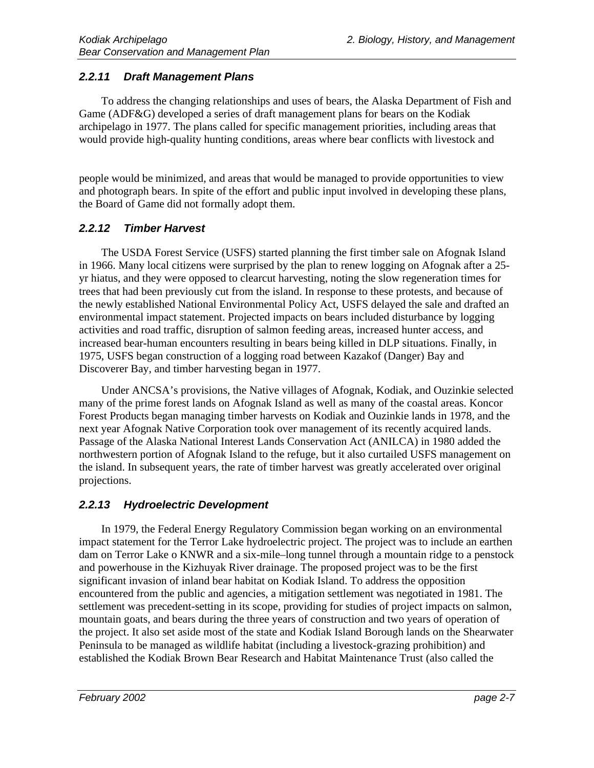# **2.2.11 Draft Management Plans**

To address the changing relationships and uses of bears, the Alaska Department of Fish and Game (ADF&G) developed a series of draft management plans for bears on the Kodiak archipelago in 1977. The plans called for specific management priorities, including areas that would provide high-quality hunting conditions, areas where bear conflicts with livestock and

people would be minimized, and areas that would be managed to provide opportunities to view and photograph bears. In spite of the effort and public input involved in developing these plans, the Board of Game did not formally adopt them.

# **2.2.12 Timber Harvest**

The USDA Forest Service (USFS) started planning the first timber sale on Afognak Island in 1966. Many local citizens were surprised by the plan to renew logging on Afognak after a 25 yr hiatus, and they were opposed to clearcut harvesting, noting the slow regeneration times for trees that had been previously cut from the island. In response to these protests, and because of the newly established National Environmental Policy Act, USFS delayed the sale and drafted an environmental impact statement. Projected impacts on bears included disturbance by logging activities and road traffic, disruption of salmon feeding areas, increased hunter access, and increased bear-human encounters resulting in bears being killed in DLP situations. Finally, in 1975, USFS began construction of a logging road between Kazakof (Danger) Bay and Discoverer Bay, and timber harvesting began in 1977.

Under ANCSA's provisions, the Native villages of Afognak, Kodiak, and Ouzinkie selected many of the prime forest lands on Afognak Island as well as many of the coastal areas. Koncor Forest Products began managing timber harvests on Kodiak and Ouzinkie lands in 1978, and the next year Afognak Native Corporation took over management of its recently acquired lands. Passage of the Alaska National Interest Lands Conservation Act (ANILCA) in 1980 added the northwestern portion of Afognak Island to the refuge, but it also curtailed USFS management on the island. In subsequent years, the rate of timber harvest was greatly accelerated over original projections.

# **2.2.13 Hydroelectric Development**

In 1979, the Federal Energy Regulatory Commission began working on an environmental impact statement for the Terror Lake hydroelectric project. The project was to include an earthen dam on Terror Lake o KNWR and a six-mile–long tunnel through a mountain ridge to a penstock and powerhouse in the Kizhuyak River drainage. The proposed project was to be the first significant invasion of inland bear habitat on Kodiak Island. To address the opposition encountered from the public and agencies, a mitigation settlement was negotiated in 1981. The settlement was precedent-setting in its scope, providing for studies of project impacts on salmon, mountain goats, and bears during the three years of construction and two years of operation of the project. It also set aside most of the state and Kodiak Island Borough lands on the Shearwater Peninsula to be managed as wildlife habitat (including a livestock-grazing prohibition) and established the Kodiak Brown Bear Research and Habitat Maintenance Trust (also called the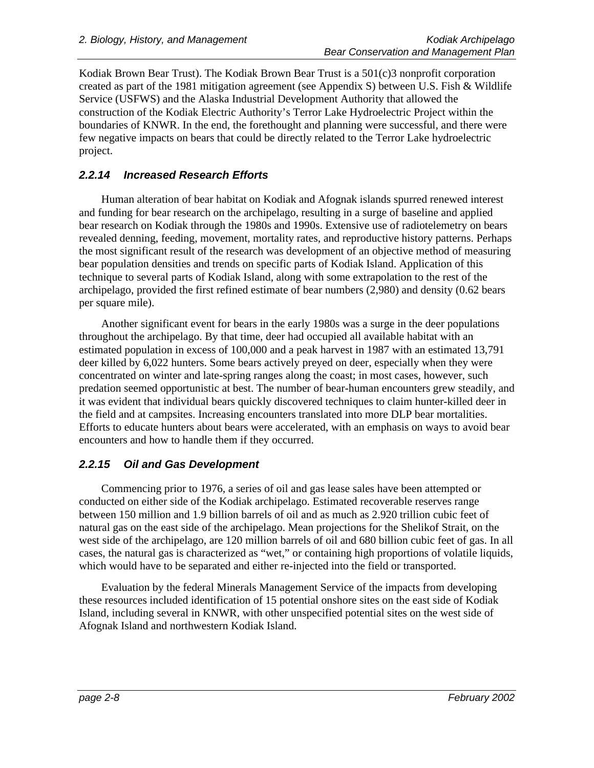Kodiak Brown Bear Trust). The Kodiak Brown Bear Trust is a 501(c)3 nonprofit corporation created as part of the 1981 mitigation agreement (see Appendix S) between U.S. Fish & Wildlife Service (USFWS) and the Alaska Industrial Development Authority that allowed the construction of the Kodiak Electric Authority's Terror Lake Hydroelectric Project within the boundaries of KNWR. In the end, the forethought and planning were successful, and there were few negative impacts on bears that could be directly related to the Terror Lake hydroelectric project.

# **2.2.14 Increased Research Efforts**

Human alteration of bear habitat on Kodiak and Afognak islands spurred renewed interest and funding for bear research on the archipelago, resulting in a surge of baseline and applied bear research on Kodiak through the 1980s and 1990s. Extensive use of radiotelemetry on bears revealed denning, feeding, movement, mortality rates, and reproductive history patterns. Perhaps the most significant result of the research was development of an objective method of measuring bear population densities and trends on specific parts of Kodiak Island. Application of this technique to several parts of Kodiak Island, along with some extrapolation to the rest of the archipelago, provided the first refined estimate of bear numbers (2,980) and density (0.62 bears per square mile).

Another significant event for bears in the early 1980s was a surge in the deer populations throughout the archipelago. By that time, deer had occupied all available habitat with an estimated population in excess of 100,000 and a peak harvest in 1987 with an estimated 13,791 deer killed by 6,022 hunters. Some bears actively preyed on deer, especially when they were concentrated on winter and late-spring ranges along the coast; in most cases, however, such predation seemed opportunistic at best. The number of bear-human encounters grew steadily, and it was evident that individual bears quickly discovered techniques to claim hunter-killed deer in the field and at campsites. Increasing encounters translated into more DLP bear mortalities. Efforts to educate hunters about bears were accelerated, with an emphasis on ways to avoid bear encounters and how to handle them if they occurred.

# **2.2.15 Oil and Gas Development**

Commencing prior to 1976, a series of oil and gas lease sales have been attempted or conducted on either side of the Kodiak archipelago. Estimated recoverable reserves range between 150 million and 1.9 billion barrels of oil and as much as 2.920 trillion cubic feet of natural gas on the east side of the archipelago. Mean projections for the Shelikof Strait, on the west side of the archipelago, are 120 million barrels of oil and 680 billion cubic feet of gas. In all cases, the natural gas is characterized as "wet," or containing high proportions of volatile liquids, which would have to be separated and either re-injected into the field or transported.

Evaluation by the federal Minerals Management Service of the impacts from developing these resources included identification of 15 potential onshore sites on the east side of Kodiak Island, including several in KNWR, with other unspecified potential sites on the west side of Afognak Island and northwestern Kodiak Island.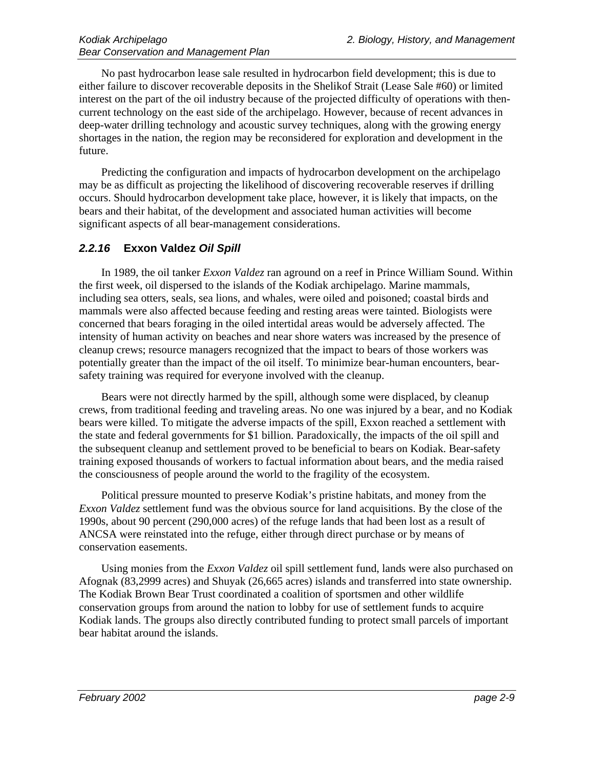No past hydrocarbon lease sale resulted in hydrocarbon field development; this is due to either failure to discover recoverable deposits in the Shelikof Strait (Lease Sale #60) or limited interest on the part of the oil industry because of the projected difficulty of operations with thencurrent technology on the east side of the archipelago. However, because of recent advances in deep-water drilling technology and acoustic survey techniques, along with the growing energy shortages in the nation, the region may be reconsidered for exploration and development in the future.

Predicting the configuration and impacts of hydrocarbon development on the archipelago may be as difficult as projecting the likelihood of discovering recoverable reserves if drilling occurs. Should hydrocarbon development take place, however, it is likely that impacts, on the bears and their habitat, of the development and associated human activities will become significant aspects of all bear-management considerations.

#### **2.2.16 Exxon Valdez Oil Spill**

In 1989, the oil tanker *Exxon Valdez* ran aground on a reef in Prince William Sound. Within the first week, oil dispersed to the islands of the Kodiak archipelago. Marine mammals, including sea otters, seals, sea lions, and whales, were oiled and poisoned; coastal birds and mammals were also affected because feeding and resting areas were tainted. Biologists were concerned that bears foraging in the oiled intertidal areas would be adversely affected. The intensity of human activity on beaches and near shore waters was increased by the presence of cleanup crews; resource managers recognized that the impact to bears of those workers was potentially greater than the impact of the oil itself. To minimize bear-human encounters, bearsafety training was required for everyone involved with the cleanup.

Bears were not directly harmed by the spill, although some were displaced, by cleanup crews, from traditional feeding and traveling areas. No one was injured by a bear, and no Kodiak bears were killed. To mitigate the adverse impacts of the spill, Exxon reached a settlement with the state and federal governments for \$1 billion. Paradoxically, the impacts of the oil spill and the subsequent cleanup and settlement proved to be beneficial to bears on Kodiak. Bear-safety training exposed thousands of workers to factual information about bears, and the media raised the consciousness of people around the world to the fragility of the ecosystem.

Political pressure mounted to preserve Kodiak's pristine habitats, and money from the *Exxon Valdez* settlement fund was the obvious source for land acquisitions. By the close of the 1990s, about 90 percent (290,000 acres) of the refuge lands that had been lost as a result of ANCSA were reinstated into the refuge, either through direct purchase or by means of conservation easements.

Using monies from the *Exxon Valdez* oil spill settlement fund, lands were also purchased on Afognak (83,2999 acres) and Shuyak (26,665 acres) islands and transferred into state ownership. The Kodiak Brown Bear Trust coordinated a coalition of sportsmen and other wildlife conservation groups from around the nation to lobby for use of settlement funds to acquire Kodiak lands. The groups also directly contributed funding to protect small parcels of important bear habitat around the islands.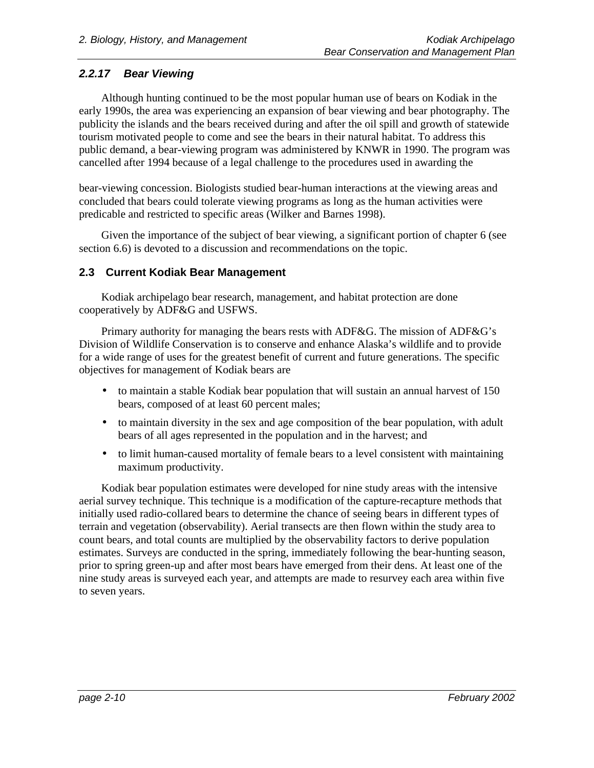### **2.2.17 Bear Viewing**

Although hunting continued to be the most popular human use of bears on Kodiak in the early 1990s, the area was experiencing an expansion of bear viewing and bear photography. The publicity the islands and the bears received during and after the oil spill and growth of statewide tourism motivated people to come and see the bears in their natural habitat. To address this public demand, a bear-viewing program was administered by KNWR in 1990. The program was cancelled after 1994 because of a legal challenge to the procedures used in awarding the

bear-viewing concession. Biologists studied bear-human interactions at the viewing areas and concluded that bears could tolerate viewing programs as long as the human activities were predicable and restricted to specific areas (Wilker and Barnes 1998).

Given the importance of the subject of bear viewing, a significant portion of chapter 6 (see section 6.6) is devoted to a discussion and recommendations on the topic.

#### **2.3 Current Kodiak Bear Management**

Kodiak archipelago bear research, management, and habitat protection are done cooperatively by ADF&G and USFWS.

Primary authority for managing the bears rests with ADF&G. The mission of ADF&G's Division of Wildlife Conservation is to conserve and enhance Alaska's wildlife and to provide for a wide range of uses for the greatest benefit of current and future generations. The specific objectives for management of Kodiak bears are

- to maintain a stable Kodiak bear population that will sustain an annual harvest of 150 bears, composed of at least 60 percent males;
- to maintain diversity in the sex and age composition of the bear population, with adult bears of all ages represented in the population and in the harvest; and
- to limit human-caused mortality of female bears to a level consistent with maintaining maximum productivity.

Kodiak bear population estimates were developed for nine study areas with the intensive aerial survey technique. This technique is a modification of the capture-recapture methods that initially used radio-collared bears to determine the chance of seeing bears in different types of terrain and vegetation (observability). Aerial transects are then flown within the study area to count bears, and total counts are multiplied by the observability factors to derive population estimates. Surveys are conducted in the spring, immediately following the bear-hunting season, prior to spring green-up and after most bears have emerged from their dens. At least one of the nine study areas is surveyed each year, and attempts are made to resurvey each area within five to seven years.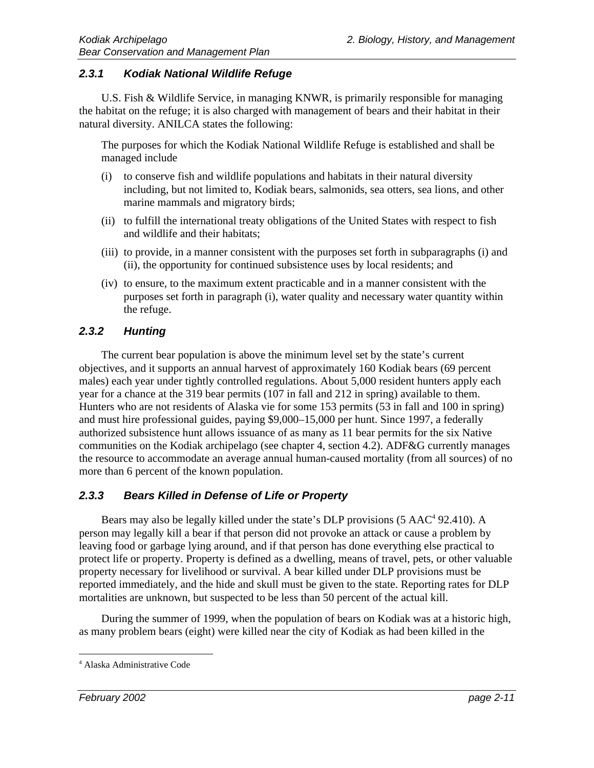#### **2.3.1 Kodiak National Wildlife Refuge**

U.S. Fish & Wildlife Service, in managing KNWR, is primarily responsible for managing the habitat on the refuge; it is also charged with management of bears and their habitat in their natural diversity. ANILCA states the following:

The purposes for which the Kodiak National Wildlife Refuge is established and shall be managed include

- (i) to conserve fish and wildlife populations and habitats in their natural diversity including, but not limited to, Kodiak bears, salmonids, sea otters, sea lions, and other marine mammals and migratory birds;
- (ii) to fulfill the international treaty obligations of the United States with respect to fish and wildlife and their habitats;
- (iii) to provide, in a manner consistent with the purposes set forth in subparagraphs (i) and (ii), the opportunity for continued subsistence uses by local residents; and
- (iv) to ensure, to the maximum extent practicable and in a manner consistent with the purposes set forth in paragraph (i), water quality and necessary water quantity within the refuge.

#### **2.3.2 Hunting**

The current bear population is above the minimum level set by the state's current objectives, and it supports an annual harvest of approximately 160 Kodiak bears (69 percent males) each year under tightly controlled regulations. About 5,000 resident hunters apply each year for a chance at the 319 bear permits (107 in fall and 212 in spring) available to them. Hunters who are not residents of Alaska vie for some 153 permits (53 in fall and 100 in spring) and must hire professional guides, paying \$9,000–15,000 per hunt. Since 1997, a federally authorized subsistence hunt allows issuance of as many as 11 bear permits for the six Native communities on the Kodiak archipelago (see chapter 4, section 4.2). ADF&G currently manages the resource to accommodate an average annual human-caused mortality (from all sources) of no more than 6 percent of the known population.

#### **2.3.3 Bears Killed in Defense of Life or Property**

Bears may also be legally killed under the state's DLP provisions (5 AAC<sup>4</sup> 92.410). A person may legally kill a bear if that person did not provoke an attack or cause a problem by leaving food or garbage lying around, and if that person has done everything else practical to protect life or property. Property is defined as a dwelling, means of travel, pets, or other valuable property necessary for livelihood or survival. A bear killed under DLP provisions must be reported immediately, and the hide and skull must be given to the state. Reporting rates for DLP mortalities are unknown, but suspected to be less than 50 percent of the actual kill.

During the summer of 1999, when the population of bears on Kodiak was at a historic high, as many problem bears (eight) were killed near the city of Kodiak as had been killed in the

 $\overline{a}$ 4 Alaska Administrative Code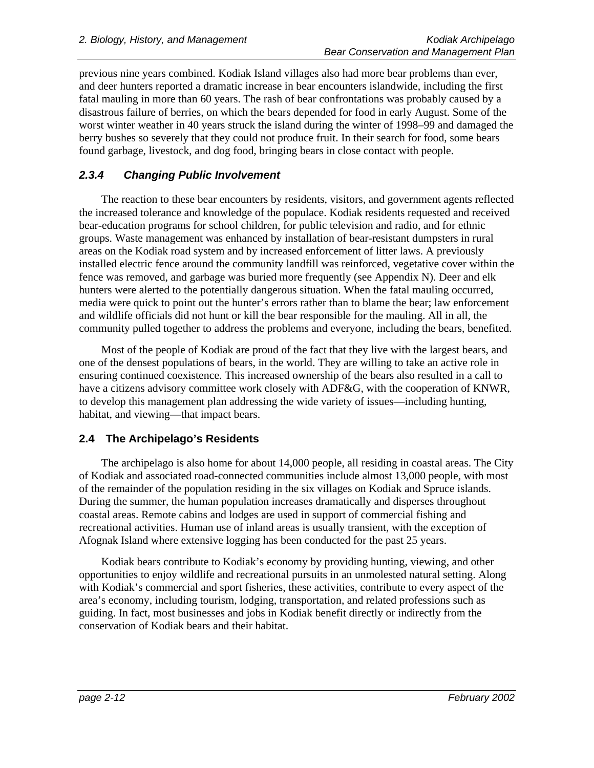previous nine years combined. Kodiak Island villages also had more bear problems than ever, and deer hunters reported a dramatic increase in bear encounters islandwide, including the first fatal mauling in more than 60 years. The rash of bear confrontations was probably caused by a disastrous failure of berries, on which the bears depended for food in early August. Some of the worst winter weather in 40 years struck the island during the winter of 1998–99 and damaged the berry bushes so severely that they could not produce fruit. In their search for food, some bears found garbage, livestock, and dog food, bringing bears in close contact with people.

# **2.3.4 Changing Public Involvement**

The reaction to these bear encounters by residents, visitors, and government agents reflected the increased tolerance and knowledge of the populace. Kodiak residents requested and received bear-education programs for school children, for public television and radio, and for ethnic groups. Waste management was enhanced by installation of bear-resistant dumpsters in rural areas on the Kodiak road system and by increased enforcement of litter laws. A previously installed electric fence around the community landfill was reinforced, vegetative cover within the fence was removed, and garbage was buried more frequently (see Appendix N). Deer and elk hunters were alerted to the potentially dangerous situation. When the fatal mauling occurred, media were quick to point out the hunter's errors rather than to blame the bear; law enforcement and wildlife officials did not hunt or kill the bear responsible for the mauling. All in all, the community pulled together to address the problems and everyone, including the bears, benefited.

Most of the people of Kodiak are proud of the fact that they live with the largest bears, and one of the densest populations of bears, in the world. They are willing to take an active role in ensuring continued coexistence. This increased ownership of the bears also resulted in a call to have a citizens advisory committee work closely with ADF&G, with the cooperation of KNWR, to develop this management plan addressing the wide variety of issues—including hunting, habitat, and viewing—that impact bears.

# **2.4 The Archipelago's Residents**

The archipelago is also home for about 14,000 people, all residing in coastal areas. The City of Kodiak and associated road-connected communities include almost 13,000 people, with most of the remainder of the population residing in the six villages on Kodiak and Spruce islands. During the summer, the human population increases dramatically and disperses throughout coastal areas. Remote cabins and lodges are used in support of commercial fishing and recreational activities. Human use of inland areas is usually transient, with the exception of Afognak Island where extensive logging has been conducted for the past 25 years.

Kodiak bears contribute to Kodiak's economy by providing hunting, viewing, and other opportunities to enjoy wildlife and recreational pursuits in an unmolested natural setting. Along with Kodiak's commercial and sport fisheries, these activities, contribute to every aspect of the area's economy, including tourism, lodging, transportation, and related professions such as guiding. In fact, most businesses and jobs in Kodiak benefit directly or indirectly from the conservation of Kodiak bears and their habitat.